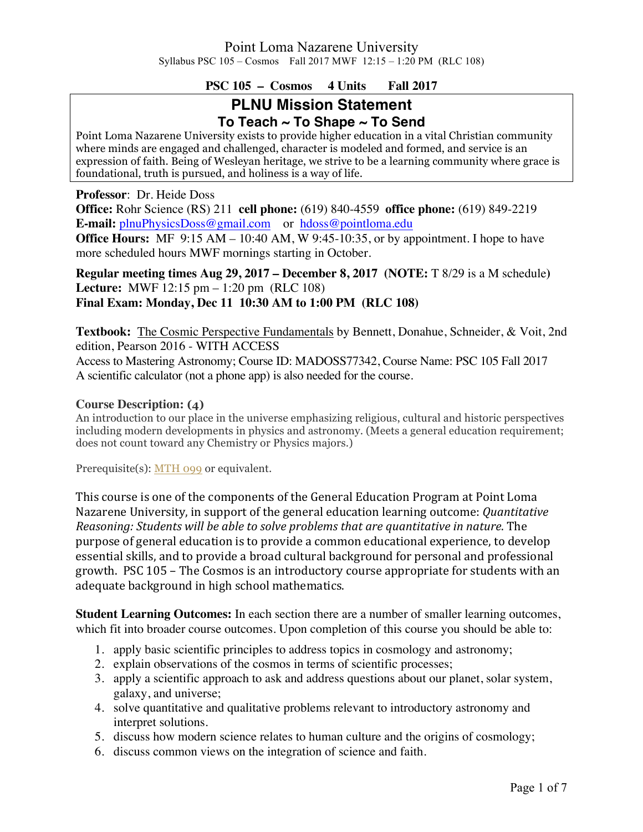## **PSC 105 – Cosmos 4 Units Fall 2017**

# **PLNU Mission Statement To Teach ~ To Shape ~ To Send**

Point Loma Nazarene University exists to provide higher education in a vital Christian community where minds are engaged and challenged, character is modeled and formed, and service is an expression of faith. Being of Wesleyan heritage, we strive to be a learning community where grace is foundational, truth is pursued, and holiness is a way of life.

**Professor**: Dr. Heide Doss

**Office:** Rohr Science (RS) 211 **cell phone:** (619) 840-4559 **office phone:** (619) 849-2219 **E-mail:** plnuPhysicsDoss@gmail.com or hdoss@pointloma.edu

**Office Hours:** MF 9:15 AM – 10:40 AM, W 9:45-10:35, or by appointment. I hope to have more scheduled hours MWF mornings starting in October.

**Regular meeting times Aug 29, 2017 – December 8, 2017 (NOTE:** T 8/29 is a M schedule**) Lecture:** MWF 12:15 pm – 1:20 pm (RLC 108) **Final Exam: Monday, Dec 11 10:30 AM to 1:00 PM (RLC 108)**

**Textbook:** The Cosmic Perspective Fundamentals by Bennett, Donahue, Schneider, & Voit, 2nd edition, Pearson 2016 - WITH ACCESS Access to Mastering Astronomy; Course ID: MADOSS77342, Course Name: PSC 105 Fall 2017 A scientific calculator (not a phone app) is also needed for the course.

#### **Course Description: (4)**

An introduction to our place in the universe emphasizing religious, cultural and historic perspectives including modern developments in physics and astronomy. (Meets a general education requirement; does not count toward any Chemistry or Physics majors.)

Prerequisite(s): MTH 099 or equivalent.

This course is one of the components of the General Education Program at Point Loma Nazarene University, in support of the general education learning outcome: *Quantitative Reasoning: Students will be able to solve problems that are quantitative in nature.* The purpose of general education is to provide a common educational experience, to develop essential skills, and to provide a broad cultural background for personal and professional growth. PSC 105 – The Cosmos is an introductory course appropriate for students with an adequate background in high school mathematics.

**Student Learning Outcomes:** In each section there are a number of smaller learning outcomes, which fit into broader course outcomes. Upon completion of this course you should be able to:

- 1. apply basic scientific principles to address topics in cosmology and astronomy;
- 2. explain observations of the cosmos in terms of scientific processes;
- 3. apply a scientific approach to ask and address questions about our planet, solar system, galaxy, and universe;
- 4. solve quantitative and qualitative problems relevant to introductory astronomy and interpret solutions.
- 5. discuss how modern science relates to human culture and the origins of cosmology;
- 6. discuss common views on the integration of science and faith.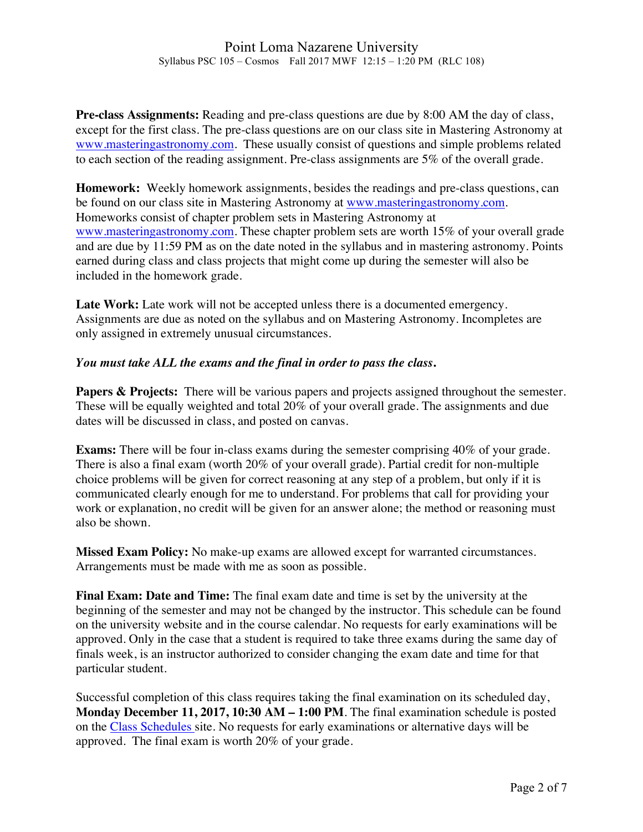**Pre-class Assignments:** Reading and pre-class questions are due by 8:00 AM the day of class, except for the first class. The pre-class questions are on our class site in Mastering Astronomy at www.masteringastronomy.com. These usually consist of questions and simple problems related to each section of the reading assignment. Pre-class assignments are 5% of the overall grade.

**Homework:** Weekly homework assignments, besides the readings and pre-class questions, can be found on our class site in Mastering Astronomy at www.masteringastronomy.com. Homeworks consist of chapter problem sets in Mastering Astronomy at www.masteringastronomy.com. These chapter problem sets are worth 15% of your overall grade and are due by 11:59 PM as on the date noted in the syllabus and in mastering astronomy. Points earned during class and class projects that might come up during the semester will also be included in the homework grade.

Late Work: Late work will not be accepted unless there is a documented emergency. Assignments are due as noted on the syllabus and on Mastering Astronomy. Incompletes are only assigned in extremely unusual circumstances.

#### *You must take ALL the exams and the final in order to pass the class***.**

**Papers & Projects:** There will be various papers and projects assigned throughout the semester. These will be equally weighted and total 20% of your overall grade. The assignments and due dates will be discussed in class, and posted on canvas.

**Exams:** There will be four in-class exams during the semester comprising 40% of your grade. There is also a final exam (worth 20% of your overall grade). Partial credit for non-multiple choice problems will be given for correct reasoning at any step of a problem, but only if it is communicated clearly enough for me to understand. For problems that call for providing your work or explanation, no credit will be given for an answer alone; the method or reasoning must also be shown.

**Missed Exam Policy:** No make-up exams are allowed except for warranted circumstances. Arrangements must be made with me as soon as possible.

**Final Exam: Date and Time:** The final exam date and time is set by the university at the beginning of the semester and may not be changed by the instructor. This schedule can be found on the university website and in the course calendar. No requests for early examinations will be approved. Only in the case that a student is required to take three exams during the same day of finals week, is an instructor authorized to consider changing the exam date and time for that particular student.

Successful completion of this class requires taking the final examination on its scheduled day, **Monday December 11, 2017, 10:30 AM – 1:00 PM**. The final examination schedule is posted on the Class Schedules site. No requests for early examinations or alternative days will be approved. The final exam is worth 20% of your grade.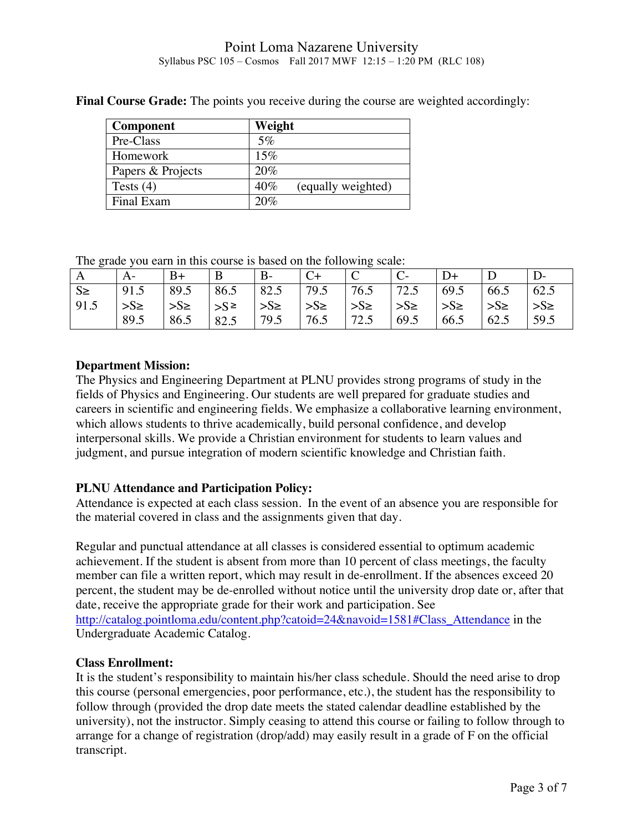## Point Loma Nazarene University Syllabus PSC 105 – Cosmos Fall 2017 MWF 12:15 – 1:20 PM (RLC 108)

| <b>Component</b>  | Weight                    |
|-------------------|---------------------------|
| Pre-Class         | 5%                        |
| Homework          | 15%                       |
| Papers & Projects | 20%                       |
| Tests $(4)$       | 40%<br>(equally weighted) |
| Final Exam        | 20%                       |

**Final Course Grade:** The points you receive during the course are weighted accordingly:

The grade you earn in this course is based on the following scale:

| ັ       | A-      | $B+$    | B          | $B-$     |          | $\mathcal{C}$           |          | $D+$               |          |          |
|---------|---------|---------|------------|----------|----------|-------------------------|----------|--------------------|----------|----------|
| $S \ge$ | 91.5    | 89.5    | 86.5       | 82.5     | 179.5    | 76.5                    | 72.5     | 69.5               | 66.5     | 62.5     |
| 91.5    | $>S\ge$ | $>S\ge$ | $ S^{\ge}$ | $>S\geq$ | $ >S\ge$ | $\Rightarrow$ $S_{\ge}$ | $>S\geq$ | $\mathsf{S}_{\ge}$ | $>S\geq$ | $>S\geq$ |
|         | 89.5    | 86.5    | 82.5       | 79.5     | 76.5     | 72.5                    | 69.5     | 66.5               | 62.5     | 59.5     |

#### **Department Mission:**

The Physics and Engineering Department at PLNU provides strong programs of study in the fields of Physics and Engineering. Our students are well prepared for graduate studies and careers in scientific and engineering fields. We emphasize a collaborative learning environment, which allows students to thrive academically, build personal confidence, and develop interpersonal skills. We provide a Christian environment for students to learn values and judgment, and pursue integration of modern scientific knowledge and Christian faith.

# **PLNU Attendance and Participation Policy:**

Attendance is expected at each class session. In the event of an absence you are responsible for the material covered in class and the assignments given that day.

Regular and punctual attendance at all classes is considered essential to optimum academic achievement. If the student is absent from more than 10 percent of class meetings, the faculty member can file a written report, which may result in de-enrollment. If the absences exceed 20 percent, the student may be de-enrolled without notice until the university drop date or, after that date, receive the appropriate grade for their work and participation. See http://catalog.pointloma.edu/content.php?catoid=24&navoid=1581#Class\_Attendance in the Undergraduate Academic Catalog.

#### **Class Enrollment:**

It is the student's responsibility to maintain his/her class schedule. Should the need arise to drop this course (personal emergencies, poor performance, etc.), the student has the responsibility to follow through (provided the drop date meets the stated calendar deadline established by the university), not the instructor. Simply ceasing to attend this course or failing to follow through to arrange for a change of registration (drop/add) may easily result in a grade of F on the official transcript.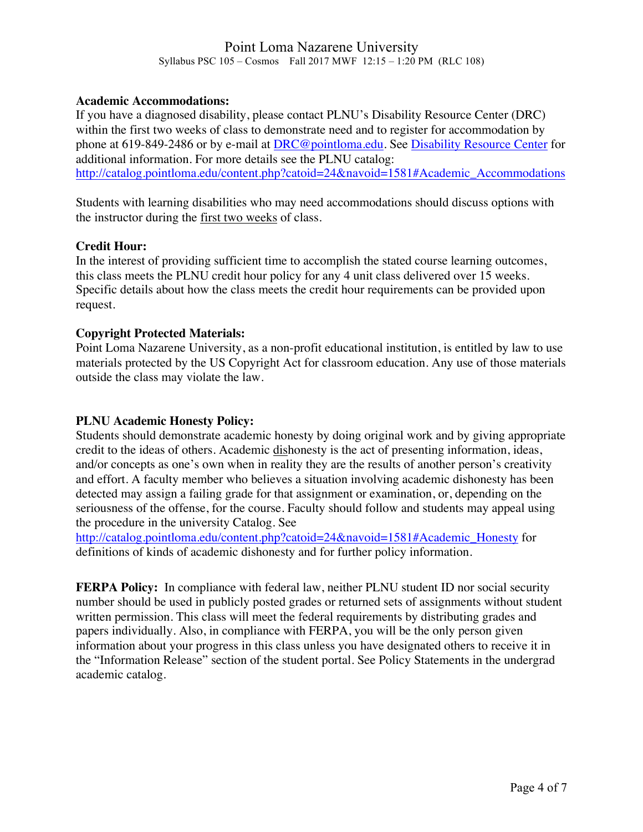#### **Academic Accommodations:**

If you have a diagnosed disability, please contact PLNU's Disability Resource Center (DRC) within the first two weeks of class to demonstrate need and to register for accommodation by phone at 619-849-2486 or by e-mail at DRC@pointloma.edu. See Disability Resource Center for additional information. For more details see the PLNU catalog: http://catalog.pointloma.edu/content.php?catoid=24&navoid=1581#Academic\_Accommodations

Students with learning disabilities who may need accommodations should discuss options with the instructor during the first two weeks of class.

#### **Credit Hour:**

In the interest of providing sufficient time to accomplish the stated course learning outcomes, this class meets the PLNU credit hour policy for any 4 unit class delivered over 15 weeks. Specific details about how the class meets the credit hour requirements can be provided upon request.

## **Copyright Protected Materials:**

Point Loma Nazarene University, as a non-profit educational institution, is entitled by law to use materials protected by the US Copyright Act for classroom education. Any use of those materials outside the class may violate the law.

# **PLNU Academic Honesty Policy:**

Students should demonstrate academic honesty by doing original work and by giving appropriate credit to the ideas of others. Academic dishonesty is the act of presenting information, ideas, and/or concepts as one's own when in reality they are the results of another person's creativity and effort. A faculty member who believes a situation involving academic dishonesty has been detected may assign a failing grade for that assignment or examination, or, depending on the seriousness of the offense, for the course. Faculty should follow and students may appeal using the procedure in the university Catalog. See

http://catalog.pointloma.edu/content.php?catoid=24&navoid=1581#Academic\_Honesty for definitions of kinds of academic dishonesty and for further policy information.

**FERPA Policy:** In compliance with federal law, neither PLNU student ID nor social security number should be used in publicly posted grades or returned sets of assignments without student written permission. This class will meet the federal requirements by distributing grades and papers individually. Also, in compliance with FERPA, you will be the only person given information about your progress in this class unless you have designated others to receive it in the "Information Release" section of the student portal. See Policy Statements in the undergrad academic catalog.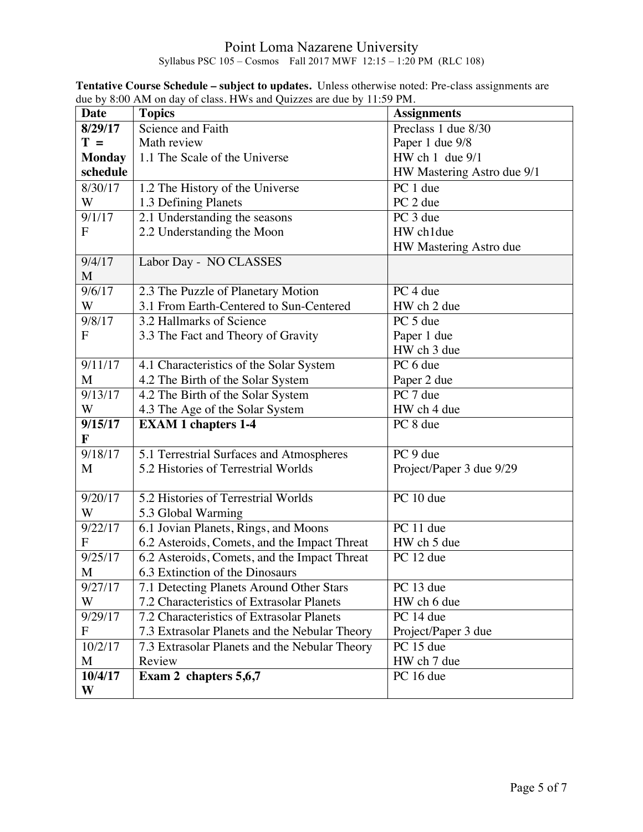#### Point Loma Nazarene University Syllabus PSC 105 – Cosmos Fall 2017 MWF 12:15 – 1:20 PM (RLC 108)

| Date                | <b>Topics</b>                                 | <b>Assignments</b>         |
|---------------------|-----------------------------------------------|----------------------------|
| 8/29/17             | Science and Faith                             | Preclass 1 due 8/30        |
| $T =$               | Math review                                   | Paper 1 due 9/8            |
| <b>Monday</b>       | 1.1 The Scale of the Universe                 | HW ch 1 due 9/1            |
| schedule            |                                               | HW Mastering Astro due 9/1 |
| 8/30/17             | 1.2 The History of the Universe               | PC 1 due                   |
| W                   | 1.3 Defining Planets                          | PC 2 due                   |
| 9/1/17              | 2.1 Understanding the seasons                 | PC 3 due                   |
| F                   | 2.2 Understanding the Moon                    | HW ch1due                  |
|                     |                                               | HW Mastering Astro due     |
| 9/4/17              | Labor Day - NO CLASSES                        |                            |
| M                   |                                               |                            |
| 9/6/17              | 2.3 The Puzzle of Planetary Motion            | PC 4 due                   |
| W                   | 3.1 From Earth-Centered to Sun-Centered       | HW ch 2 due                |
| 9/8/17              | 3.2 Hallmarks of Science                      | PC 5 due                   |
| $\mathbf F$         | 3.3 The Fact and Theory of Gravity            | Paper 1 due                |
|                     |                                               | HW ch 3 due                |
| 9/11/17             | 4.1 Characteristics of the Solar System       | PC 6 due                   |
| M                   | 4.2 The Birth of the Solar System             | Paper 2 due                |
| $\frac{1}{9/13/17}$ | 4.2 The Birth of the Solar System             | PC 7 due                   |
| W                   | 4.3 The Age of the Solar System               | HW ch 4 due                |
| 9/15/17             | <b>EXAM 1 chapters 1-4</b>                    | PC 8 due                   |
| F                   |                                               |                            |
| 9/18/17             | 5.1 Terrestrial Surfaces and Atmospheres      | PC 9 due                   |
| M                   | 5.2 Histories of Terrestrial Worlds           | Project/Paper 3 due 9/29   |
|                     |                                               |                            |
| 9/20/17             | 5.2 Histories of Terrestrial Worlds           | PC 10 due                  |
| W                   | 5.3 Global Warming                            |                            |
| 9/22/17             | 6.1 Jovian Planets, Rings, and Moons          | PC 11 due                  |
| $\mathbf{F}$        | 6.2 Asteroids, Comets, and the Impact Threat  | HW ch 5 due                |
| 9/25/17             | 6.2 Asteroids, Comets, and the Impact Threat  | PC 12 due                  |
| M                   | 6.3 Extinction of the Dinosaurs               |                            |
| 9/27/17             | 7.1 Detecting Planets Around Other Stars      | PC 13 due                  |
| W                   | 7.2 Characteristics of Extrasolar Planets     | HW ch 6 due                |
| 9/29/17             | 7.2 Characteristics of Extrasolar Planets     | PC 14 due                  |
| $\mathbf F$         | 7.3 Extrasolar Planets and the Nebular Theory | Project/Paper 3 due        |
| 10/2/17             | 7.3 Extrasolar Planets and the Nebular Theory | PC 15 due                  |
| M                   | Review                                        | HW ch 7 due                |
| 10/4/17             | Exam 2 chapters 5,6,7                         | PC 16 due                  |
| W                   |                                               |                            |

**Tentative Course Schedule – subject to updates.** Unless otherwise noted: Pre-class assignments are due by 8:00 AM on day of class. HWs and Quizzes are due by 11:59 PM.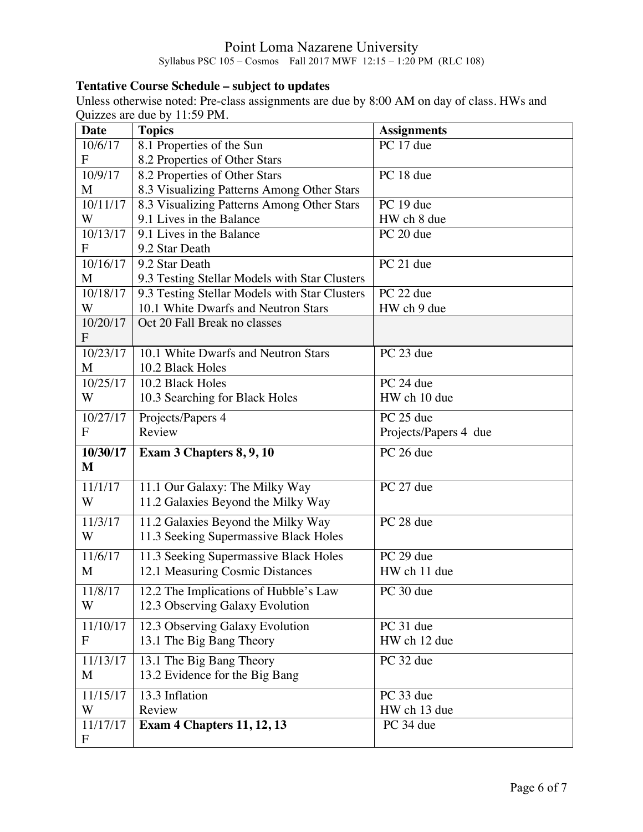## Point Loma Nazarene University Syllabus PSC 105 – Cosmos Fall 2017 MWF 12:15 – 1:20 PM (RLC 108)

# **Tentative Course Schedule – subject to updates**

Unless otherwise noted: Pre-class assignments are due by 8:00 AM on day of class. HWs and Quizzes are due by 11:59 PM.

| <b>Date</b>               | <b>Topics</b>                                 | <b>Assignments</b>    |  |
|---------------------------|-----------------------------------------------|-----------------------|--|
| 10/6/17                   | 8.1 Properties of the Sun                     | PC 17 due             |  |
| $\mathbf F$               | 8.2 Properties of Other Stars                 |                       |  |
| 10/9/17                   | 8.2 Properties of Other Stars                 | PC 18 due             |  |
| M                         | 8.3 Visualizing Patterns Among Other Stars    |                       |  |
| 10/11/17                  | 8.3 Visualizing Patterns Among Other Stars    | PC 19 due             |  |
| W                         | 9.1 Lives in the Balance                      | HW ch 8 due           |  |
| 10/13/17                  | 9.1 Lives in the Balance                      | PC $20$ due           |  |
| F                         | 9.2 Star Death                                |                       |  |
| 10/16/17                  | 9.2 Star Death                                | PC 21 due             |  |
| M                         | 9.3 Testing Stellar Models with Star Clusters |                       |  |
| 10/18/17                  | 9.3 Testing Stellar Models with Star Clusters | PC 22 due             |  |
| W                         | 10.1 White Dwarfs and Neutron Stars           | HW ch 9 due           |  |
| 10/20/17                  | Oct 20 Fall Break no classes                  |                       |  |
| $\mathbf{F}$              |                                               |                       |  |
| 10/23/17                  | 10.1 White Dwarfs and Neutron Stars           | PC 23 due             |  |
| M                         | 10.2 Black Holes                              |                       |  |
| 10/25/17                  | 10.2 Black Holes                              | PC 24 due             |  |
| W                         | 10.3 Searching for Black Holes                | HW ch 10 due          |  |
| 10/27/17                  | Projects/Papers 4                             | PC 25 due             |  |
| $\mathbf{F}$              | Review                                        | Projects/Papers 4 due |  |
| 10/30/17                  | Exam 3 Chapters 8, 9, 10                      | PC 26 due             |  |
| M                         |                                               |                       |  |
| 11/1/17                   | 11.1 Our Galaxy: The Milky Way                | PC 27 due             |  |
| W                         | 11.2 Galaxies Beyond the Milky Way            |                       |  |
|                           |                                               |                       |  |
| 11/3/17                   | 11.2 Galaxies Beyond the Milky Way            | PC 28 due             |  |
| W                         | 11.3 Seeking Supermassive Black Holes         |                       |  |
| 11/6/17                   | 11.3 Seeking Supermassive Black Holes         | PC 29 due             |  |
| M                         | 12.1 Measuring Cosmic Distances               | HW ch 11 due          |  |
| 11/8/17                   | 12.2 The Implications of Hubble's Law         | PC 30 due             |  |
| W                         | 12.3 Observing Galaxy Evolution               |                       |  |
| 11/10/17                  | 12.3 Observing Galaxy Evolution               | PC 31 due             |  |
| $\mathbf{F}$              | 13.1 The Big Bang Theory                      | HW ch 12 due          |  |
|                           |                                               |                       |  |
| 11/13/17                  | 13.1 The Big Bang Theory                      | PC 32 due             |  |
| M                         | 13.2 Evidence for the Big Bang                |                       |  |
| 11/15/17                  | 13.3 Inflation                                | PC 33 due             |  |
| W                         | Review                                        | HW ch 13 due          |  |
| 11/17/17                  | <b>Exam 4 Chapters 11, 12, 13</b>             | PC 34 due             |  |
| $\boldsymbol{\mathrm{F}}$ |                                               |                       |  |